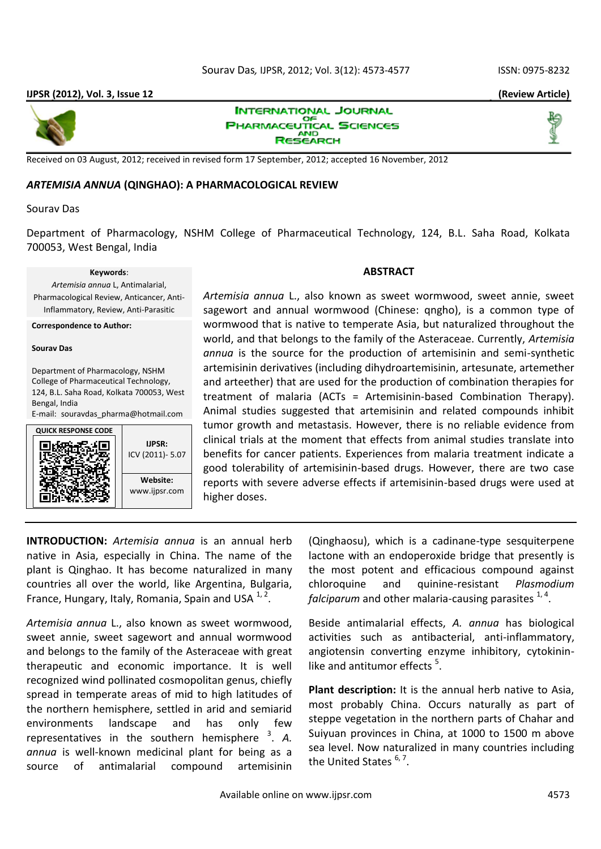

**IJPSR (2012), Vol. 3, Issue 12 (Review Article)**

## **INTERNATIONAL JOURNAL PHARMACEUTICAL SCIENCES** AND RESEARCH

Received on 03 August, 2012; received in revised form 17 September, 2012; accepted 16 November, 2012

# *ARTEMISIA ANNUA* **(QINGHAO): A PHARMACOLOGICAL REVIEW**

## Sourav Das

Department of Pharmacology, NSHM College of Pharmaceutical Technology, 124, B.L. Saha Road, Kolkata 700053, West Bengal, India

## **Keywords**:

*Artemisia annua* L, Antimalarial, Pharmacological Review, Anticancer, Anti-Inflammatory, Review, Anti-Parasitic

**Correspondence to Author:**

#### **Sourav Das**

Department of Pharmacology, NSHM College of Pharmaceutical Technology, 124, B.L. Saha Road, Kolkata 700053, West Bengal, India E-mail: souravdas\_pharma@hotmail.com



## **ABSTRACT**

*Artemisia annua* L., also known as sweet wormwood, sweet annie, sweet sagewort and annual wormwood (Chinese: qngho), is a common type of wormwood that is native to temperate Asia, but naturalized throughout the world, and that belongs to the family of the Asteraceae. Currently, *Artemisia annua* is the source for the production of artemisinin and semi-synthetic artemisinin derivatives (including dihydroartemisinin, artesunate, artemether and arteether) that are used for the production of combination therapies for treatment of malaria (ACTs = Artemisinin-based Combination Therapy). Animal studies suggested that artemisinin and related compounds inhibit tumor growth and metastasis. However, there is no reliable evidence from clinical trials at the moment that effects from animal studies translate into benefits for cancer patients. Experiences from malaria treatment indicate a good tolerability of artemisinin-based drugs. However, there are two case reports with severe adverse effects if artemisinin-based drugs were used at higher doses.

**INTRODUCTION:** *Artemisia annua* is an annual herb native in Asia, especially in China. The name of the plant is Qinghao. It has become naturalized in many countries all over the world, like Argentina, Bulgaria, France, Hungary, Italy, Romania, Spain and USA  $^{1, 2}$ .

*Artemisia annua* L., also known as sweet wormwood, sweet annie, sweet sagewort and annual wormwood and belongs to the family of the Asteraceae with great therapeutic and economic importance. It is well recognized wind pollinated cosmopolitan genus, chiefly spread in temperate areas of mid to high latitudes of the northern hemisphere, settled in arid and semiarid environments landscape and has only few representatives in the southern hemisphere <sup>3</sup>. A. *annua* is well-known medicinal plant for being as a source of antimalarial compound artemisinin

(Qinghaosu), which is a cadinane-type sesquiterpene lactone with an endoperoxide bridge that presently is the most potent and efficacious compound against chloroquine and quinine-resistant *Plasmodium*   $\emph{falciparum}$  and other malaria-causing parasites  $^{1,4}$ .

Beside antimalarial effects, *A. annua* has biological activities such as antibacterial, anti-inflammatory, angiotensin converting enzyme inhibitory, cytokininlike and antitumor effects<sup>5</sup>.

**Plant description:** It is the annual herb native to Asia, most probably China. Occurs naturally as part of steppe vegetation in the northern parts of Chahar and Suiyuan provinces in China, at 1000 to 1500 m above sea level. Now naturalized in many countries including the United States <sup>6, 7</sup>.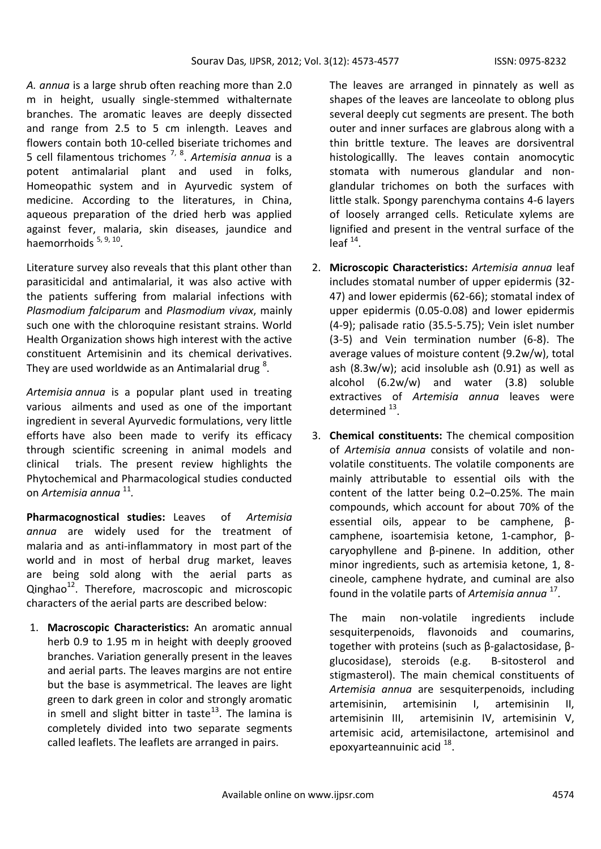*A. annua* is a large shrub often reaching more than 2.0 m in height, usually single-stemmed withalternate branches. The aromatic leaves are deeply dissected and range from 2.5 to 5 cm inlength. Leaves and flowers contain both 10-celled biseriate trichomes and 5 cell filamentous trichomes 7, <sup>8</sup> . *Artemisia annua* is a potent antimalarial plant and used in folks, Homeopathic system and in Ayurvedic system of medicine. According to the literatures, in China, aqueous preparation of the dried herb was applied against fever, malaria, skin diseases, jaundice and haemorrhoids 5, 9, 10

Literature survey also reveals that this plant other than parasiticidal and antimalarial, it was also active with the patients suffering from malarial infections with *Plasmodium falciparum* and *Plasmodium vivax*, mainly such one with the chloroquine resistant strains. World Health Organization shows high interest with the active constituent Artemisinin and its chemical derivatives. They are used worldwide as an Antimalarial drug  $8$ .

*Artemisia annua* is a popular plant used in treating various ailments and used as one of the important ingredient in several Ayurvedic formulations, very little efforts have also been made to verify its efficacy through scientific screening in animal models and clinical trials. The present review highlights the Phytochemical and Pharmacological studies conducted on *Artemisia annua* <sup>11</sup>*.*

**Pharmacognostical studies:** Leaves of *Artemisia annua* are widely used for the treatment of malaria and as anti-inflammatory in most part of the world and in most of herbal drug market, leaves are being sold along with the aerial parts as  $Q$ inghao<sup>12</sup>. Therefore, macroscopic and microscopic characters of the aerial parts are described below:

1. **Macroscopic Characteristics:** An aromatic annual herb 0.9 to 1.95 m in height with deeply grooved branches. Variation generally present in the leaves and aerial parts. The leaves margins are not entire but the base is asymmetrical. The leaves are light green to dark green in color and strongly aromatic in smell and slight bitter in taste<sup>13</sup>. The lamina is completely divided into two separate segments called leaflets. The leaflets are arranged in pairs.

The leaves are arranged in pinnately as well as shapes of the leaves are lanceolate to oblong plus several deeply cut segments are present. The both outer and inner surfaces are glabrous along with a thin brittle texture. The leaves are dorsiventral histologicallly. The leaves contain anomocytic stomata with numerous glandular and nonglandular trichomes on both the surfaces with little stalk. Spongy parenchyma contains 4-6 layers of loosely arranged cells. Reticulate xylems are lignified and present in the ventral surface of the leaf $^{14}$ .

- 2. **Microscopic Characteristics:** *Artemisia annua* leaf includes stomatal number of upper epidermis (32- 47) and lower epidermis (62-66); stomatal index of upper epidermis (0.05-0.08) and lower epidermis (4-9); palisade ratio (35.5-5.75); Vein islet number (3-5) and Vein termination number (6-8). The average values of moisture content (9.2w/w), total ash (8.3w/w); acid insoluble ash (0.91) as well as alcohol (6.2w/w) and water (3.8) soluble extractives of *Artemisia annua* leaves were determined<sup>13</sup>.
- 3. **Chemical constituents:** The chemical composition of *Artemisia annua* consists of volatile and nonvolatile constituents. The volatile components are mainly attributable to essential oils with the content of the latter being 0.2–0.25%. The main compounds, which account for about 70% of the essential oils, appear to be camphene, βcamphene, isoartemisia ketone, 1-camphor, βcaryophyllene and β-pinene. In addition, other minor ingredients, such as artemisia ketone, 1, 8 cineole, camphene hydrate, and cuminal are also found in the volatile parts of *Artemisia annua* 17.

The main non-volatile ingredients include sesquiterpenoids, flavonoids and coumarins, together with proteins (such as β-galactosidase, βglucosidase), steroids (e.g. Β-sitosterol and stigmasterol). The main chemical constituents of *Artemisia annua* are sesquiterpenoids, including artemisinin, artemisinin I, artemisinin II, artemisinin III, artemisinin IV, artemisinin V, artemisic acid, artemisilactone, artemisinol and epoxyarteannuinic acid <sup>18</sup>.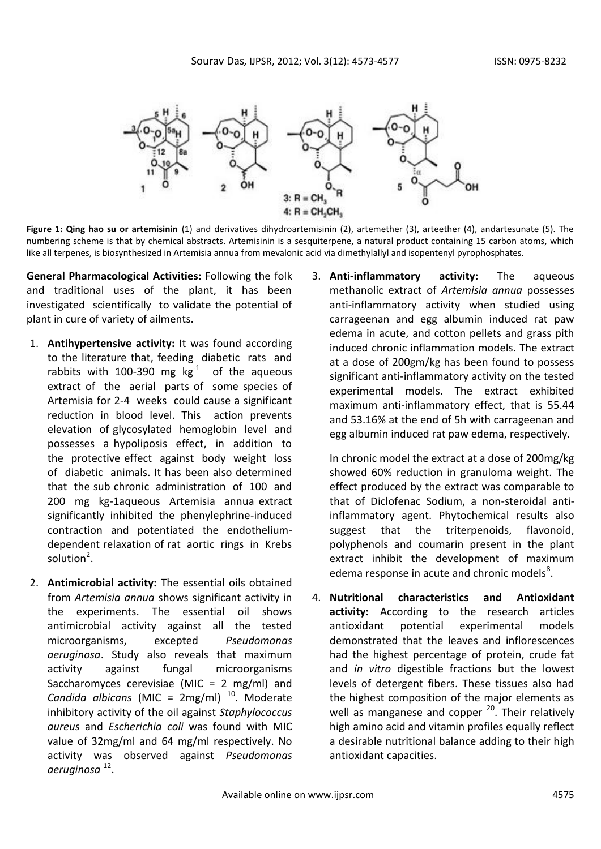

**Figure 1: Qing hao su or artemisinin** (1) and derivatives dihydroartemisinin (2), artemether (3), arteether (4), andartesunate (5). The numbering scheme is that by chemical abstracts. Artemisinin is a sesquiterpene, a natural product containing 15 carbon atoms, which like all terpenes, is biosynthesized in Artemisia annua from mevalonic acid via dimethylallyl and isopentenyl pyrophosphates.

**General Pharmacological Activities:** Following the folk and traditional uses of the plant, it has been investigated scientifically to validate the potential of plant in cure of variety of ailments.

- 1. **Antihypertensive activity:** It was found according to the literature that, feeding diabetic rats and rabbits with 100-390 mg  $kg^{-1}$  of the aqueous extract of the aerial parts of some species of Artemisia for 2-4 weeks could cause a significant reduction in blood level. This action prevents elevation of glycosylated hemoglobin level and possesses a hypoliposis effect, in addition to the protective effect against body weight loss of diabetic animals. It has been also determined that the sub chronic administration of 100 and 200 mg kg-1aqueous Artemisia annua extract significantly inhibited the phenylephrine-induced contraction and potentiated the endotheliumdependent relaxation of rat aortic rings in Krebs solution<sup>2</sup>.
- 2. **Antimicrobial activity:** The essential oils obtained from *Artemisia annua* shows significant activity in the experiments. The essential oil shows antimicrobial activity against all the tested microorganisms, excepted *Pseudomonas aeruginosa*. Study also reveals that maximum activity against fungal microorganisms Saccharomyces cerevisiae (MIC = 2 mg/ml) and *Candida albicans* (MIC = 2mg/ml)<sup>10</sup>. Moderate inhibitory activity of the oil against *Staphylococcus aureus* and *Escherichia coli* was found with MIC value of 32mg/ml and 64 mg/ml respectively. No activity was observed against *Pseudomonas aeruginosa* 12.

3. **Anti-inflammatory activity:** The aqueous methanolic extract of *Artemisia annua* possesses anti-inflammatory activity when studied using carrageenan and egg albumin induced rat paw edema in acute, and cotton pellets and grass pith induced chronic inflammation models. The extract at a dose of 200gm/kg has been found to possess significant anti-inflammatory activity on the tested experimental models. The extract exhibited maximum anti-inflammatory effect, that is 55.44 and 53.16% at the end of 5h with carrageenan and egg albumin induced rat paw edema, respectively.

In chronic model the extract at a dose of 200mg/kg showed 60% reduction in granuloma weight. The effect produced by the extract was comparable to that of Diclofenac Sodium, a non-steroidal antiinflammatory agent. Phytochemical results also suggest that the triterpenoids, flavonoid, polyphenols and coumarin present in the plant extract inhibit the development of maximum edema response in acute and chronic models $8$ .

4. **Nutritional characteristics and Antioxidant activity:** According to the research articles antioxidant potential experimental models demonstrated that the leaves and inflorescences had the highest percentage of protein, crude fat and *in vitro* digestible fractions but the lowest levels of detergent fibers. These tissues also had the highest composition of the major elements as well as manganese and copper  $20$ . Their relatively high amino acid and vitamin profiles equally reflect a desirable nutritional balance adding to their high antioxidant capacities.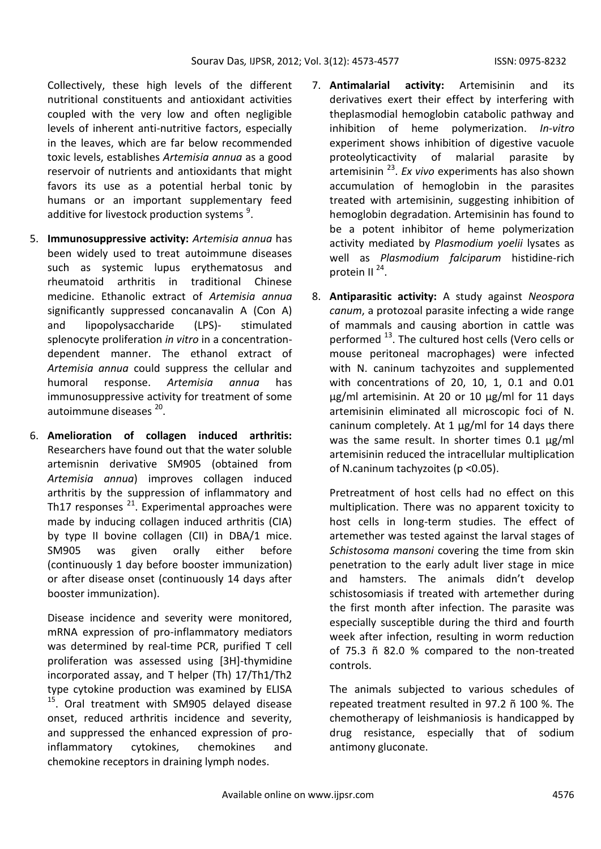Collectively, these high levels of the different nutritional constituents and antioxidant activities coupled with the very low and often negligible levels of inherent anti-nutritive factors, especially in the leaves, which are far below recommended toxic levels, establishes *Artemisia annua* as a good reservoir of nutrients and antioxidants that might favors its use as a potential herbal tonic by humans or an important supplementary feed additive for livestock production systems <sup>9</sup>.

- 5. **Immunosuppressive activity:** *Artemisia annua* has been widely used to treat autoimmune diseases such as systemic lupus erythematosus and rheumatoid arthritis in traditional Chinese medicine. Ethanolic extract of *Artemisia annua*  significantly suppressed concanavalin A (Con A) and lipopolysaccharide (LPS)- stimulated splenocyte proliferation *in vitro* in a concentrationdependent manner. The ethanol extract of *Artemisia annua* could suppress the cellular and humoral response. *Artemisia annua* has immunosuppressive activity for treatment of some autoimmune diseases 20.
- 6. **Amelioration of collagen induced arthritis:**  Researchers have found out that the water soluble artemisnin derivative SM905 (obtained from *Artemisia annua*) improves collagen induced arthritis by the suppression of inflammatory and Th17 responses  $21.$  Experimental approaches were made by inducing collagen induced arthritis (CIA) by type II bovine collagen (CII) in DBA/1 mice. SM905 was given orally either before (continuously 1 day before booster immunization) or after disease onset (continuously 14 days after booster immunization).

Disease incidence and severity were monitored, mRNA expression of pro-inflammatory mediators was determined by real-time PCR, purified T cell proliferation was assessed using [3H]-thymidine incorporated assay, and T helper (Th) 17/Th1/Th2 type cytokine production was examined by ELISA <sup>15</sup>. Oral treatment with SM905 delayed disease onset, reduced arthritis incidence and severity, and suppressed the enhanced expression of proinflammatory cytokines, chemokines and chemokine receptors in draining lymph nodes.

- 7. **Antimalarial activity:** Artemisinin and its derivatives exert their effect by interfering with theplasmodial hemoglobin catabolic pathway and inhibition of heme polymerization. *In-vitro* experiment shows inhibition of digestive vacuole proteolyticactivity of malarial parasite by artemisinin 23. *Ex vivo* experiments has also shown accumulation of hemoglobin in the parasites treated with artemisinin, suggesting inhibition of hemoglobin degradation. Artemisinin has found to be a potent inhibitor of heme polymerization activity mediated by *Plasmodium yoelii* lysates as well as *Plasmodium falciparum* histidine-rich protein II 24.
- 8. **Antiparasitic activity:** A study against *Neospora canum*, a protozoal parasite infecting a wide range of mammals and causing abortion in cattle was performed <sup>13</sup>. The cultured host cells (Vero cells or mouse peritoneal macrophages) were infected with N. caninum tachyzoites and supplemented with concentrations of 20, 10, 1, 0.1 and 0.01 µg/ml artemisinin. At 20 or 10 µg/ml for 11 days artemisinin eliminated all microscopic foci of N. caninum completely. At 1 µg/ml for 14 days there was the same result. In shorter times 0.1  $\mu$ g/ml artemisinin reduced the intracellular multiplication of N.caninum tachyzoites (p <0.05).

Pretreatment of host cells had no effect on this multiplication. There was no apparent toxicity to host cells in long-term studies. The effect of artemether was tested against the larval stages of *Schistosoma mansoni* covering the time from skin penetration to the early adult liver stage in mice and hamsters. The animals didn't develop schistosomiasis if treated with artemether during the first month after infection. The parasite was especially susceptible during the third and fourth week after infection, resulting in worm reduction of 75.3 ñ 82.0 % compared to the non-treated controls.

The animals subjected to various schedules of repeated treatment resulted in 97.2 ñ 100 %. The chemotherapy of leishmaniosis is handicapped by drug resistance, especially that of sodium antimony gluconate.